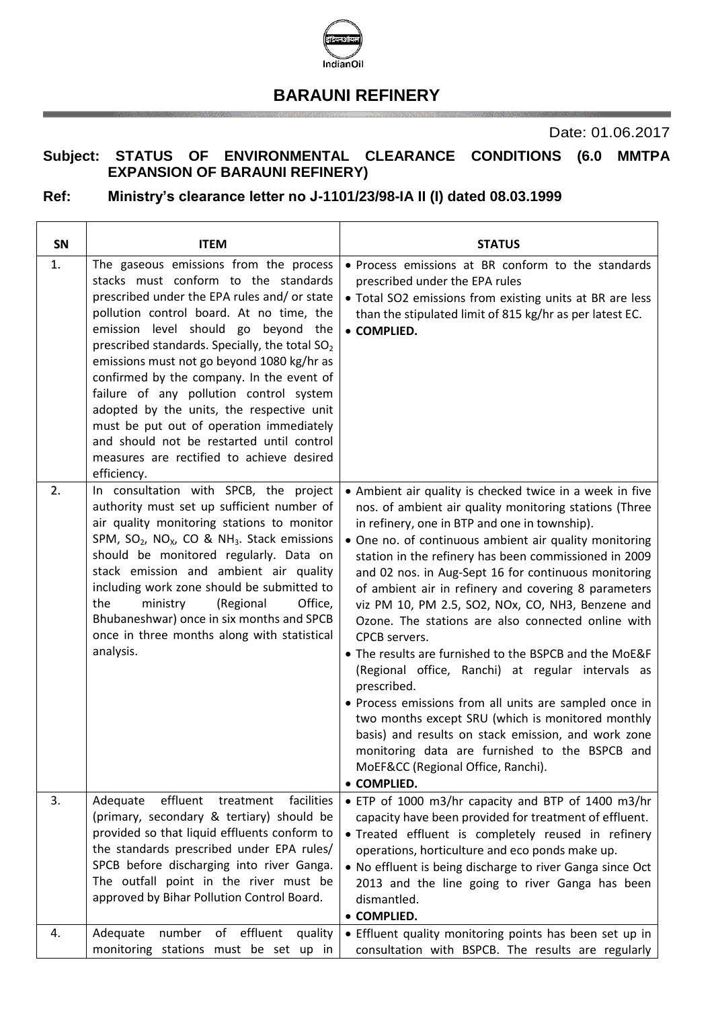

## **BARAUNI REFINERY**

Date: 01.06.2017

## **Subject: STATUS OF ENVIRONMENTAL CLEARANCE CONDITIONS (6.0 MMTPA EXPANSION OF BARAUNI REFINERY)**

## **Ref: Ministry's clearance letter no J-1101/23/98-IA II (I) dated 08.03.1999**

| <b>SN</b>    | <b>ITEM</b>                                                                                                                                                                                                                                                                                                                                                                                                                                                                                                                                                                                                             | <b>STATUS</b>                                                                                                                                                                                                                                                                                                                                                                                                                                                                                                                                                                                                                                                                                                                                                                                                                                                                                                                                 |
|--------------|-------------------------------------------------------------------------------------------------------------------------------------------------------------------------------------------------------------------------------------------------------------------------------------------------------------------------------------------------------------------------------------------------------------------------------------------------------------------------------------------------------------------------------------------------------------------------------------------------------------------------|-----------------------------------------------------------------------------------------------------------------------------------------------------------------------------------------------------------------------------------------------------------------------------------------------------------------------------------------------------------------------------------------------------------------------------------------------------------------------------------------------------------------------------------------------------------------------------------------------------------------------------------------------------------------------------------------------------------------------------------------------------------------------------------------------------------------------------------------------------------------------------------------------------------------------------------------------|
| $\mathbf{1}$ | The gaseous emissions from the process<br>stacks must conform to the standards<br>prescribed under the EPA rules and/ or state<br>pollution control board. At no time, the<br>emission level should go beyond the<br>prescribed standards. Specially, the total SO <sub>2</sub><br>emissions must not go beyond 1080 kg/hr as<br>confirmed by the company. In the event of<br>failure of any pollution control system<br>adopted by the units, the respective unit<br>must be put out of operation immediately<br>and should not be restarted until control<br>measures are rectified to achieve desired<br>efficiency. | . Process emissions at BR conform to the standards<br>prescribed under the EPA rules<br>. Total SO2 emissions from existing units at BR are less<br>than the stipulated limit of 815 kg/hr as per latest EC.<br>• COMPLIED.                                                                                                                                                                                                                                                                                                                                                                                                                                                                                                                                                                                                                                                                                                                   |
| 2.           | In consultation with SPCB, the project<br>authority must set up sufficient number of<br>air quality monitoring stations to monitor<br>SPM, $SO_2$ , NO <sub>x</sub> , CO & NH <sub>3</sub> . Stack emissions<br>should be monitored regularly. Data on<br>stack emission and ambient air quality<br>including work zone should be submitted to<br>Office,<br>the<br>ministry<br>(Regional<br>Bhubaneshwar) once in six months and SPCB<br>once in three months along with statistical<br>analysis.                                                                                                                      | • Ambient air quality is checked twice in a week in five<br>nos. of ambient air quality monitoring stations (Three<br>in refinery, one in BTP and one in township).<br>• One no. of continuous ambient air quality monitoring<br>station in the refinery has been commissioned in 2009<br>and 02 nos. in Aug-Sept 16 for continuous monitoring<br>of ambient air in refinery and covering 8 parameters<br>viz PM 10, PM 2.5, SO2, NOx, CO, NH3, Benzene and<br>Ozone. The stations are also connected online with<br>CPCB servers.<br>• The results are furnished to the BSPCB and the MoE&F<br>(Regional office, Ranchi) at regular intervals as<br>prescribed.<br>· Process emissions from all units are sampled once in<br>two months except SRU (which is monitored monthly<br>basis) and results on stack emission, and work zone<br>monitoring data are furnished to the BSPCB and<br>MoEF&CC (Regional Office, Ranchi).<br>• COMPLIED. |
| 3.           | effluent<br>facilities<br>Adequate<br>treatment<br>(primary, secondary & tertiary) should be<br>provided so that liquid effluents conform to<br>the standards prescribed under EPA rules/<br>SPCB before discharging into river Ganga.<br>The outfall point in the river must be<br>approved by Bihar Pollution Control Board.                                                                                                                                                                                                                                                                                          | • ETP of 1000 m3/hr capacity and BTP of 1400 m3/hr<br>capacity have been provided for treatment of effluent.<br>· Treated effluent is completely reused in refinery<br>operations, horticulture and eco ponds make up.<br>. No effluent is being discharge to river Ganga since Oct<br>2013 and the line going to river Ganga has been<br>dismantled.<br>• COMPLIED.                                                                                                                                                                                                                                                                                                                                                                                                                                                                                                                                                                          |
| 4.           | effluent<br>Adequate<br>number<br>quality<br>οf<br>monitoring stations must be set up in                                                                                                                                                                                                                                                                                                                                                                                                                                                                                                                                | • Effluent quality monitoring points has been set up in<br>consultation with BSPCB. The results are regularly                                                                                                                                                                                                                                                                                                                                                                                                                                                                                                                                                                                                                                                                                                                                                                                                                                 |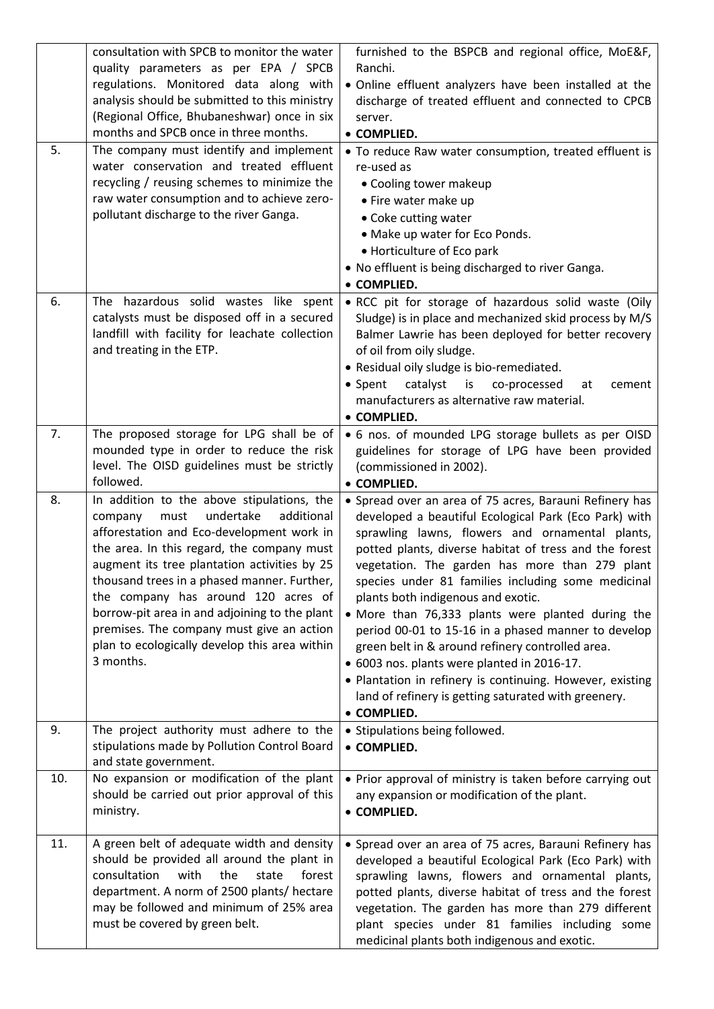|     | consultation with SPCB to monitor the water<br>quality parameters as per EPA / SPCB<br>regulations. Monitored data along with<br>analysis should be submitted to this ministry<br>(Regional Office, Bhubaneshwar) once in six<br>months and SPCB once in three months.                                                                                                                                                                                                                | furnished to the BSPCB and regional office, MoE&F,<br>Ranchi.<br>. Online effluent analyzers have been installed at the<br>discharge of treated effluent and connected to CPCB<br>server.<br>• COMPLIED.                                                                                                                                                                                                                                                                                                                                                                                                                                                                                                                       |
|-----|---------------------------------------------------------------------------------------------------------------------------------------------------------------------------------------------------------------------------------------------------------------------------------------------------------------------------------------------------------------------------------------------------------------------------------------------------------------------------------------|--------------------------------------------------------------------------------------------------------------------------------------------------------------------------------------------------------------------------------------------------------------------------------------------------------------------------------------------------------------------------------------------------------------------------------------------------------------------------------------------------------------------------------------------------------------------------------------------------------------------------------------------------------------------------------------------------------------------------------|
| 5.  | The company must identify and implement<br>water conservation and treated effluent<br>recycling / reusing schemes to minimize the<br>raw water consumption and to achieve zero-<br>pollutant discharge to the river Ganga.                                                                                                                                                                                                                                                            | • To reduce Raw water consumption, treated effluent is<br>re-used as<br>• Cooling tower makeup<br>• Fire water make up<br>• Coke cutting water<br>• Make up water for Eco Ponds.<br>• Horticulture of Eco park<br>. No effluent is being discharged to river Ganga.<br>• COMPLIED.                                                                                                                                                                                                                                                                                                                                                                                                                                             |
| 6.  | The hazardous solid wastes like spent<br>catalysts must be disposed off in a secured<br>landfill with facility for leachate collection<br>and treating in the ETP.                                                                                                                                                                                                                                                                                                                    | . RCC pit for storage of hazardous solid waste (Oily<br>Sludge) is in place and mechanized skid process by M/S<br>Balmer Lawrie has been deployed for better recovery<br>of oil from oily sludge.<br>• Residual oily sludge is bio-remediated.<br>catalyst<br>• Spent<br>is<br>co-processed<br>at<br>cement<br>manufacturers as alternative raw material.<br>• COMPLIED.                                                                                                                                                                                                                                                                                                                                                       |
| 7.  | The proposed storage for LPG shall be of<br>mounded type in order to reduce the risk<br>level. The OISD guidelines must be strictly<br>followed.                                                                                                                                                                                                                                                                                                                                      | • 6 nos. of mounded LPG storage bullets as per OISD<br>guidelines for storage of LPG have been provided<br>(commissioned in 2002).<br>• COMPLIED.                                                                                                                                                                                                                                                                                                                                                                                                                                                                                                                                                                              |
| 8.  | In addition to the above stipulations, the<br>undertake<br>additional<br>company<br>must<br>afforestation and Eco-development work in<br>the area. In this regard, the company must<br>augment its tree plantation activities by 25<br>thousand trees in a phased manner. Further,<br>the company has around 120 acres of<br>borrow-pit area in and adjoining to the plant<br>premises. The company must give an action<br>plan to ecologically develop this area within<br>3 months. | • Spread over an area of 75 acres, Barauni Refinery has<br>developed a beautiful Ecological Park (Eco Park) with<br>sprawling lawns, flowers and ornamental plants,<br>potted plants, diverse habitat of tress and the forest<br>vegetation. The garden has more than 279 plant<br>species under 81 families including some medicinal<br>plants both indigenous and exotic.<br>• More than 76,333 plants were planted during the<br>period 00-01 to 15-16 in a phased manner to develop<br>green belt in & around refinery controlled area.<br>• 6003 nos. plants were planted in 2016-17.<br>. Plantation in refinery is continuing. However, existing<br>land of refinery is getting saturated with greenery.<br>• COMPLIED. |
| 9.  | The project authority must adhere to the<br>stipulations made by Pollution Control Board<br>and state government.                                                                                                                                                                                                                                                                                                                                                                     | • Stipulations being followed.<br>• COMPLIED.                                                                                                                                                                                                                                                                                                                                                                                                                                                                                                                                                                                                                                                                                  |
| 10. | No expansion or modification of the plant<br>should be carried out prior approval of this<br>ministry.                                                                                                                                                                                                                                                                                                                                                                                | • Prior approval of ministry is taken before carrying out<br>any expansion or modification of the plant.<br>• COMPLIED.                                                                                                                                                                                                                                                                                                                                                                                                                                                                                                                                                                                                        |
| 11. | A green belt of adequate width and density<br>should be provided all around the plant in<br>consultation<br>with<br>the<br>state<br>forest<br>department. A norm of 2500 plants/ hectare<br>may be followed and minimum of 25% area<br>must be covered by green belt.                                                                                                                                                                                                                 | • Spread over an area of 75 acres, Barauni Refinery has<br>developed a beautiful Ecological Park (Eco Park) with<br>sprawling lawns, flowers and ornamental plants,<br>potted plants, diverse habitat of tress and the forest<br>vegetation. The garden has more than 279 different<br>plant species under 81 families including some<br>medicinal plants both indigenous and exotic.                                                                                                                                                                                                                                                                                                                                          |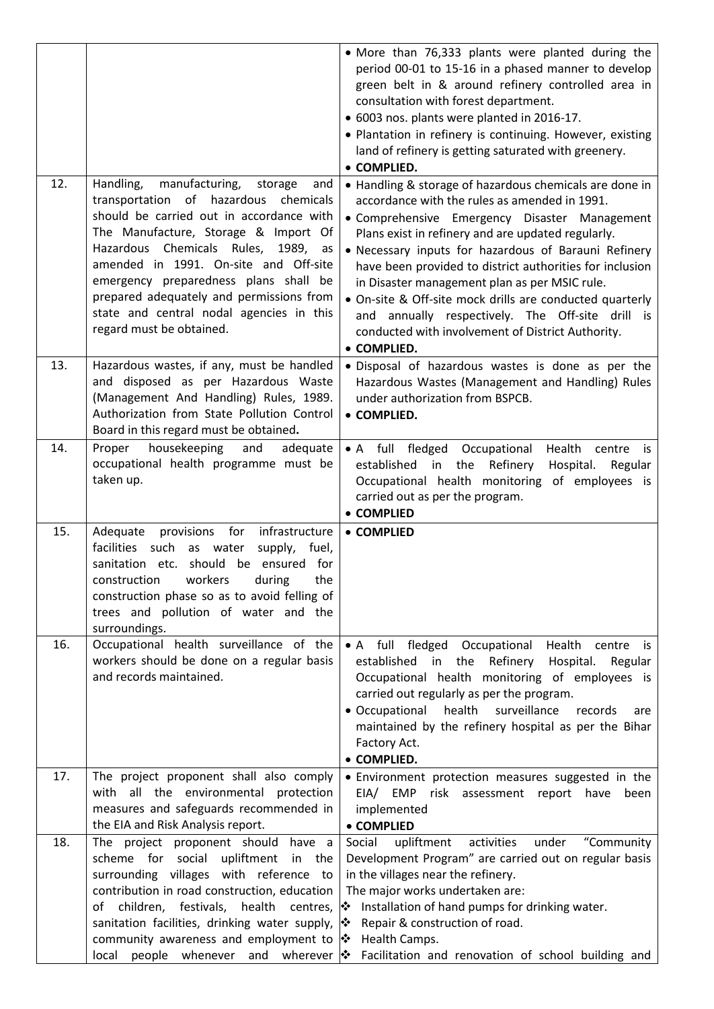|     |                                                                                                                                                                                                                                                                                                                                                                                                                               | • More than 76,333 plants were planted during the<br>period 00-01 to 15-16 in a phased manner to develop<br>green belt in & around refinery controlled area in<br>consultation with forest department.<br>• 6003 nos. plants were planted in 2016-17.<br>• Plantation in refinery is continuing. However, existing<br>land of refinery is getting saturated with greenery.<br>• COMPLIED.                                                                                                                                                                                |
|-----|-------------------------------------------------------------------------------------------------------------------------------------------------------------------------------------------------------------------------------------------------------------------------------------------------------------------------------------------------------------------------------------------------------------------------------|--------------------------------------------------------------------------------------------------------------------------------------------------------------------------------------------------------------------------------------------------------------------------------------------------------------------------------------------------------------------------------------------------------------------------------------------------------------------------------------------------------------------------------------------------------------------------|
| 12. | Handling,<br>manufacturing,<br>storage<br>and<br>transportation of hazardous<br>chemicals<br>should be carried out in accordance with<br>The Manufacture, Storage & Import Of<br>Chemicals Rules, 1989, as<br>Hazardous<br>amended in 1991. On-site and Off-site<br>emergency preparedness plans shall be<br>prepared adequately and permissions from<br>state and central nodal agencies in this<br>regard must be obtained. | • Handling & storage of hazardous chemicals are done in<br>accordance with the rules as amended in 1991.<br>• Comprehensive Emergency Disaster Management<br>Plans exist in refinery and are updated regularly.<br>• Necessary inputs for hazardous of Barauni Refinery<br>have been provided to district authorities for inclusion<br>in Disaster management plan as per MSIC rule.<br>• On-site & Off-site mock drills are conducted quarterly<br>and annually respectively. The Off-site drill is<br>conducted with involvement of District Authority.<br>• COMPLIED. |
| 13. | Hazardous wastes, if any, must be handled<br>and disposed as per Hazardous Waste<br>(Management And Handling) Rules, 1989.<br>Authorization from State Pollution Control<br>Board in this regard must be obtained.                                                                                                                                                                                                            | · Disposal of hazardous wastes is done as per the<br>Hazardous Wastes (Management and Handling) Rules<br>under authorization from BSPCB.<br>• COMPLIED.                                                                                                                                                                                                                                                                                                                                                                                                                  |
| 14. | Proper housekeeping<br>and<br>adequate<br>occupational health programme must be<br>taken up.                                                                                                                                                                                                                                                                                                                                  | • A full fledged Occupational<br>Health centre<br>is<br>Refinery<br>established<br>in the<br>Hospital.<br>Regular<br>Occupational health monitoring of employees is<br>carried out as per the program.<br>• COMPLIED                                                                                                                                                                                                                                                                                                                                                     |
| 15. | Adequate provisions for<br>infrastructure<br>facilities such as water<br>supply, fuel,<br>sanitation etc. should be ensured for<br>construction<br>workers<br>during<br>the<br>construction phase so as to avoid felling of<br>trees and pollution of water and the<br>surroundings.                                                                                                                                          | • COMPLIED                                                                                                                                                                                                                                                                                                                                                                                                                                                                                                                                                               |
| 16. | Occupational health surveillance of the<br>workers should be done on a regular basis<br>and records maintained.                                                                                                                                                                                                                                                                                                               | • A full fledged<br>Occupational<br>Health<br>centre<br>is.<br>Refinery<br>established<br>in<br>the<br>Hospital.<br>Regular<br>Occupational health monitoring of employees is<br>carried out regularly as per the program.<br>• Occupational<br>health<br>surveillance<br>records<br>are<br>maintained by the refinery hospital as per the Bihar<br>Factory Act.<br>• COMPLIED.                                                                                                                                                                                          |
| 17. | The project proponent shall also comply<br>with all the environmental protection<br>measures and safeguards recommended in<br>the EIA and Risk Analysis report.                                                                                                                                                                                                                                                               | · Environment protection measures suggested in the<br>EIA/ EMP risk assessment report have<br>been<br>implemented<br>• COMPLIED                                                                                                                                                                                                                                                                                                                                                                                                                                          |
| 18. | The project proponent should have a<br>scheme for social<br>upliftment<br>in<br>the<br>surrounding villages with reference to                                                                                                                                                                                                                                                                                                 | activities<br>"Community<br>Social<br>upliftment<br>under<br>Development Program" are carried out on regular basis<br>in the villages near the refinery.                                                                                                                                                                                                                                                                                                                                                                                                                 |